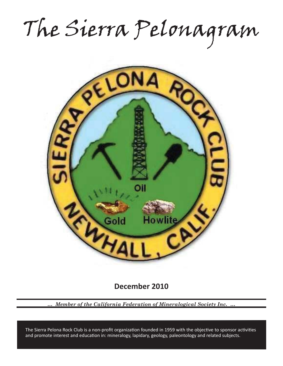The Sierra Pelonagram



**December 2010**

*… Member of the California Federation of Mineralogical Society Inc. …*

and promote interest and education in: mineralogy, lapidary, geology, paleontology and related subjects. The Sierra Pelona Rock Club is a non-profit organization founded in 1959 with the objective to sponsor activities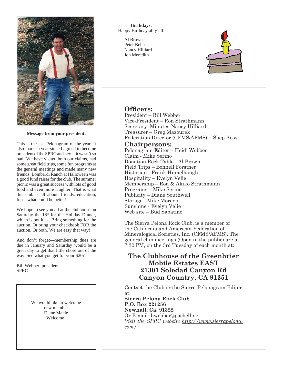

**Message from your president:**

This is the last Pelonagram of the year. It also marks a year since I agreed to become president of the SPRC and hey—it wasn't so bad! We have visited both our claims, had some great field trips, some fun programs at the general meetings and made many new friends. Lombardi Ranch at Halloween was a good fund raiser for the club. The summer picnic was a great success with lots of good food and even more laughter. That is what this club is all about: friends, education, fun—what could be better!

We hope to see you all at the clubhouse on Saturday the 18<sup>th</sup> for the Holiday Dinner, which is pot luck. Bring something for the auction. Or bring your checkbook FOR the auction. Or both. We are easy that way!

And don't forget—membership dues are due in January and Saturday would be a great day to get that little chore out of the way. See what you get for your \$20?

Bill Webber, president SPRC

> We would like to welcome new member Diane Mahle. Welcome!

**Birthdays:** Happy Birthday all y'all!

> Al Brown Peter Bellas Nancy Hilliard Jon Meredith



## **Officers:**

President – Bill Webber Vice-President – Ron Strathmann Secretary: Minutes-Nancy Hilliard Treasurer – Greg Mazourek Federation Director (CFMS/AFMS) – Shep Koss

## **Chairpersons:**

Pelonagram Editor – Heidi Webber Claim - Mike Serino Donation Rock Table - Al Brown Field Trips – Bonnell Forstner Historian - Frank Humelbaugh Hospitality – Evelyn Velie Membership – Ron & Akiko Strathmann Programs – Mike Serino Publicity – Diane Southwell Storage - Mike Moreno Sunshine - Evelyn Velie Web site – Bud Sabatino

The Sierra Pelona Rock Club, is a member of the California and American Federation of Mineralogical Societies, Inc. (CFMS/AFMS). The general club meetings (Open to the public) are at 7:30 PM, on the 3rd Tuesday of each month at:

# **The Clubhouse of the Greenbrier Mobile Estates EAST 21301 Soledad Canyon Rd Canyon Country, CA 91351**

Contact the Club or the Sierra Pelonagram Editor at:

**Sierra Pelona Rock Club P.O. Box 221256 Newhall, Ca. 91322** Or E-mail: hwebber@pacbell.net *Visit the SPRC website http://www.sierrapelona. com/*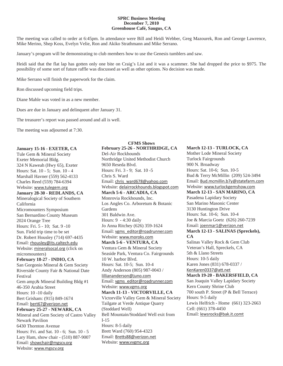#### **SPRC Business Meeting December 7, 2010 Greenhouse Café, Saugus, CA**

The meeting was called to order at 6:45pm. In attendance were Bill and Heidi Webber, Greg Mazourek, Ron and George Lawrence, Mike Merino, Shep Koss, Evelyn Velie, Ron and Akiko Strathmann and Mike Serrano.

January's program will be demonstrating to club members how to use the Genesis tumblers and saw.

Heidi said that the flat lap has gotten only one bite on Craig's List and it was a scammer. She had dropped the price to \$975. The possibility of some sort of future raffle was discussed as well as other options. No decision was made.

**CFMS Shows**

Mike Serrano will finish the paperwork for the claim.

Ron discussed upcoming field trips.

Diane Mahle was voted in as a new member.

Dues are due in January and delinquent after January 31.

The treasurer's report was passed around and all is well.

The meeting was adjourned at 7:30.

#### **January 15-16 - EXETER, CA**

Tule Gem & Mineral Society Exeter Memorial Bldg. 324 N Kaweah (Hwy 65), Exeter Hours: Sat. 10 - 5; Sun. 10 - 4 Marshall Havner (559) 562-4133 Charles Reed (559) 784-6394 Website: www.tulegem.org **January 28-30 - REDLANDS, CA** Mineralogical Society of Southern California Micromounters Symposium San Bernardino County Museum 2024 Orange Tree Hours: Fri. 5 - 10; Sat. 9 -10 Sun. Field trip time to be set Dr. Robert Housley (714) 697-4435 Email: rhousley@its.caltech.edu Website: mineralsocal.org (click on micromounters) **February 18-27 - INDIO, CA** San Gorgonio Mineral & Gem Society Riverside County Fair & National Date Festival Gem amp;& Mineral Building Bldg #1 46-350 Arabia Street Hours: 10 -10 daily Bert Grisham: (915) 849-1674 Email: bert67@verizon.net **February 25-27 - NEWARK, CA** Mineral and Gem Society of Castro Valley Newark Pavilion 6430 Thornton Avenue Hours: Fri. and Sat. 10 - 6; Sun. 10 - 5 Lary Ham, show chair - (510) 887-9007 Email: showchair@mgscv.org Website: www.mgscv.org

**February 25-26 - NORTHRIDGE, CA** Del-Air Rockhounds Northridge United Methodist Church 9650 Reseda Blvd. Hours: Fri. 3 - 9; Sat. 10 -5 Chris S. Ward Email: chris\_ward678@yahoo.com Website: delairrockhounds.blogspot.com **March 5-6 - ARCADIA, CA** Monrovia Rockhounds, Inc. Los Angles Co. Arboretum & Botanic Gardens 301 Baldwin Ave. Hours: 9 - 4:30 daily Jo Anna Ritchey (626) 359-1624 Email: vgms\_editor@roadrunner.com Website: www.moroks.com **March 5-6 - VENTURA, CA** Ventura Gem & Mineral Society Seaside Park, Ventura Co. Fairgrounds 10 W. harbor Blvd. Hours: Sat. 10-5; Sun. 10-4 Andy Anderson (805) 987-0043 / lilliananderson@juno.com Email: vgms\_editor@roadrunner.com Website: www.vgms.org **March 11-13 - VICTORVILLE, CA** Victorville Valley Gem & Mineral Society Tailgate at Verde Antique Quarry (Stoddard Well) Bell Mountain/Stoddard Well exit from I-15 Hours: 8-5 daily Brett Ward (760) 954-4323 Email: Bretts88@verizon.net Website: www.vvgmc.org

## **March 12-13 - TURLOCK, CA** Mother Lode Mineral Society Turlock Fairgrounds 900 N. Broadway Hours: Sat. 10-6; Sun. 10-5 Bud & Terry McMillin (209) 524-3494 Email: Bud.mcmillin.b7y@statefarm.com Website: www.turlockgemshow.com **March 12-13 - SAN MARINO, CA** Pasadena Lapidary Society San Marino Masonic Center 3130 Huntington Drive Hours: Sat. 10-6; Sun. 10-4 Joe & Marcia Goetz (626) 260-7239 Email: joenmar1@verizon.net **March 12-13 - SALINAS (Spreckels), CA** Salinas Valley Rock & Gem Club Veteran's Hall, Spreckels, CA 5th & Llano Streets Hours: 10-5 daily Karen Jones (831) 678-0337 / KenKaren0337@att.net **March 19-20 - BAKERSFIELD, CA** San Joaquin Valley Lapidary Society Kern County Shrine Club 700 south P. Street (P & Bell Terrace) Hours: 9-5 daily Lewis Helfrich - Home (661) 323-2663 Cell: (661) 378-4450 Email: lewsrocks@bak.it.comt